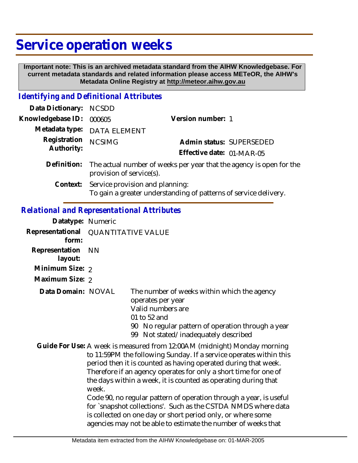# **Service operation weeks**

 **Important note: This is an archived metadata standard from the AIHW Knowledgebase. For current metadata standards and related information please access METeOR, the AIHW's Metadata Online Registry at http://meteor.aihw.gov.au**

#### *Identifying and Definitional Attributes*

| Data Dictionary: NCSDD     |                                                                                                     |                           |
|----------------------------|-----------------------------------------------------------------------------------------------------|---------------------------|
| Knowledgebase ID:          | 000605                                                                                              | Version number: 1         |
|                            | Metadata type: DATA ELEMENT                                                                         |                           |
| Registration<br>Authority: | <b>NCSIMG</b>                                                                                       | Admin status: SUPERSEDED  |
|                            |                                                                                                     | Effective date: 01-MAR-05 |
| Definition:                | The actual number of weeks per year that the agency is open for the<br>provision of service(s).     |                           |
| Context:                   | Service provision and planning:<br>To gain a greater understanding of patterns of service delivery. |                           |

#### *Relational and Representational Attributes*

| <b>QUANTITATIVE VALUE</b> |                                                                                                                                                                                                                                                                                                                                                                                                                                                                                                                                                                                                                               |
|---------------------------|-------------------------------------------------------------------------------------------------------------------------------------------------------------------------------------------------------------------------------------------------------------------------------------------------------------------------------------------------------------------------------------------------------------------------------------------------------------------------------------------------------------------------------------------------------------------------------------------------------------------------------|
| <b>NN</b>                 |                                                                                                                                                                                                                                                                                                                                                                                                                                                                                                                                                                                                                               |
|                           |                                                                                                                                                                                                                                                                                                                                                                                                                                                                                                                                                                                                                               |
|                           |                                                                                                                                                                                                                                                                                                                                                                                                                                                                                                                                                                                                                               |
|                           | The number of weeks within which the agency<br>operates per year<br>Valid numbers are<br>01 to 52 and<br>90 No regular pattern of operation through a year<br>Not stated/inadequately described<br>99                                                                                                                                                                                                                                                                                                                                                                                                                         |
| week.                     | Guide For Use: A week is measured from 12:00AM (midnight) Monday morning<br>to 11:59PM the following Sunday. If a service operates within this<br>period then it is counted as having operated during that week.<br>Therefore if an agency operates for only a short time for one of<br>the days within a week, it is counted as operating during that<br>Code 90, no regular pattern of operation through a year, is useful<br>for `snapshot collections'. Such as the CSTDA NMDS where data<br>is collected on one day or short period only, or where some<br>agencies may not be able to estimate the number of weeks that |
|                           | Datatype: Numeric<br>Minimum Size: 2<br>Maximum Size: 2<br>Data Domain: NOVAL                                                                                                                                                                                                                                                                                                                                                                                                                                                                                                                                                 |